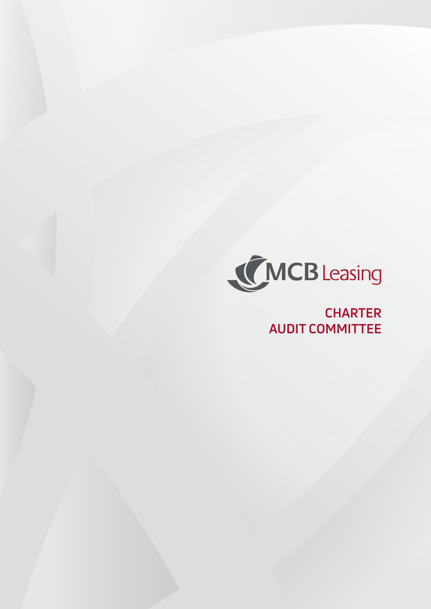

**CHARTER AUDIT COMMITTEE**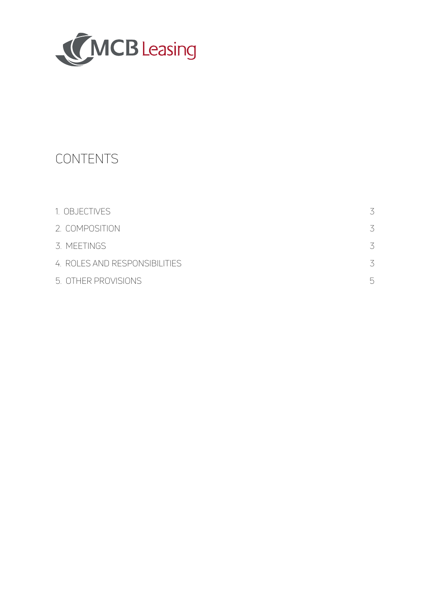

# CONTENTS

| 1. OBJECTIVES                 |          |
|-------------------------------|----------|
| 2. COMPOSITION                |          |
| 3. MEETINGS                   |          |
| 4. ROLES AND RESPONSIBILITIES |          |
| 5. OTHER PROVISIONS           | $\vdash$ |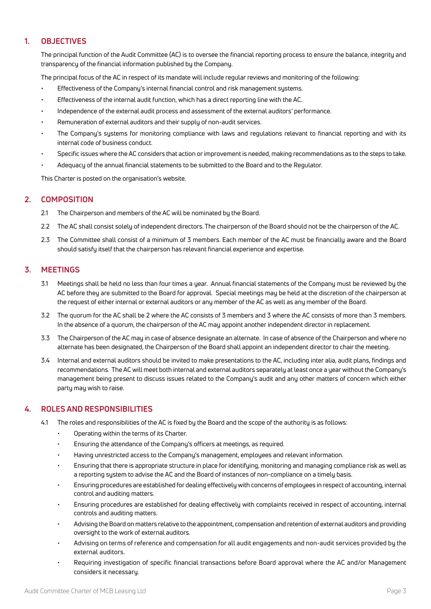# **1. OBJECTIVES**

The principal function of the Audit Committee (AC) is to oversee the financial reporting process to ensure the balance, integrity and transparency of the financial information published by the Company.

The principal focus of the AC in respect of its mandate will include regular reviews and monitoring of the following:

- Effectiveness of the Company's internal financial control and risk management systems.
- Effectiveness of the internal audit function, which has a direct reporting line with the AC.
- Independence of the external audit process and assessment of the external auditors' performance.
- Remuneration of external auditors and their supply of non-audit services.
- The Company's systems for monitoring compliance with laws and regulations relevant to financial reporting and with its internal code of business conduct.
- Specific issues where the AC considers that action or improvement is needed, making recommendations as to the steps to take.
- Adequacy of the annual financial statements to be submitted to the Board and to the Regulator.

This Charter is posted on the organisation's website.

# **2. COMPOSITION**

- 2.1 The Chairperson and members of the AC will be nominated by the Board.
- 2.2 The AC shall consist solely of independent directors. The chairperson of the Board should not be the chairperson of the AC.
- 2.3 The Committee shall consist of a minimum of 3 members. Each member of the AC must be financially aware and the Board should satisfy itself that the chairperson has relevant financial experience and expertise.

## **3. MEETINGS**

- 3.1 Meetings shall be held no less than four times a year. Annual financial statements of the Company must be reviewed by the AC before they are submitted to the Board for approval. Special meetings may be held at the discretion of the chairperson at the request of either internal or external auditors or any member of the AC as well as any member of the Board.
- 3.2 The quorum for the AC shall be 2 where the AC consists of 3 members and 3 where the AC consists of more than 3 members. In the absence of a quorum, the chairperson of the AC may appoint another independent director in replacement.
- 3.3 The Chairperson of the AC may in case of absence designate an alternate. In case of absence of the Chairperson and where no alternate has been designated, the Chairperson of the Board shall appoint an independent director to chair the meeting.
- 3.4 Internal and external auditors should be invited to make presentations to the AC, including inter alia, audit plans, findings and recommendations. The AC will meet both internal and external auditors separately at least once a year without the Company's management being present to discuss issues related to the Company's audit and any other matters of concern which either party may wish to raise.

# **4. ROLES AND RESPONSIBILITIES**

- 4.1 The roles and responsibilities of the AC is fixed by the Board and the scope of the authority is as follows:
	- Operating within the terms of its Charter.
	- Ensuring the attendance of the Company's officers at meetings, as required.
	- Having unrestricted access to the Company's management, employees and relevant information.
	- Ensuring that there is appropriate structure in place for identifying, monitoring and managing compliance risk as well as a reporting system to advise the AC and the Board of instances of non-compliance on a timely basis.
	- Ensuring procedures are established for dealing effectively with concerns of employees in respect of accounting, internal control and auditing matters.
	- Ensuring procedures are established for dealing effectively with complaints received in respect of accounting, internal controls and auditing matters.
	- Advising the Board on matters relative to the appointment, compensation and retention of external auditors and providing oversight to the work of external auditors.
	- Advising on terms of reference and compensation for all audit engagements and non-audit services provided by the external auditors.
	- Requiring investigation of specific financial transactions before Board approval where the AC and/or Management considers it necessary.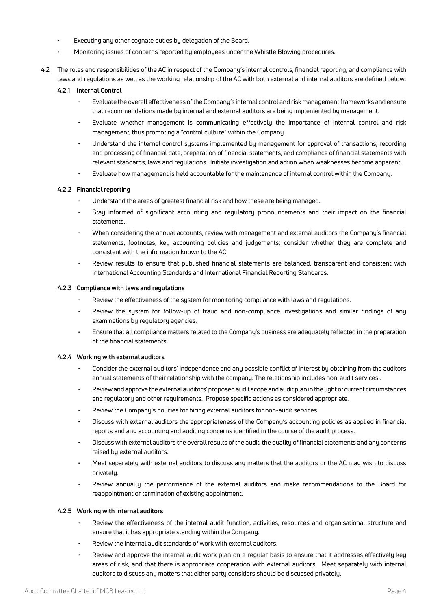- Executing any other cognate duties by delegation of the Board.
- Monitoring issues of concerns reported by employees under the Whistle Blowing procedures.
- 4.2 The roles and responsibilities of the AC in respect of the Company's internal controls, financial reporting, and compliance with laws and regulations as well as the working relationship of the AC with both external and internal auditors are defined below:

#### **4.2.1 Internal Control**

- Evaluate the overall effectiveness of the Company's internal control and risk management frameworks and ensure that recommendations made by internal and external auditors are being implemented by management.
- Evaluate whether management is communicating effectively the importance of internal control and risk management, thus promoting a "control culture" within the Company.
- Understand the internal control systems implemented by management for approval of transactions, recording and processing of financial data, preparation of financial statements, and compliance of financial statements with relevant standards, laws and regulations. Initiate investigation and action when weaknesses become apparent.
- Evaluate how management is held accountable for the maintenance of internal control within the Company.

#### **4.2.2 Financial reporting**

- Understand the areas of greatest financial risk and how these are being managed.
- Stay informed of significant accounting and regulatory pronouncements and their impact on the financial statements.
- When considering the annual accounts, review with management and external auditors the Company's financial statements, footnotes, key accounting policies and judgements; consider whether they are complete and consistent with the information known to the AC.
- Review results to ensure that published financial statements are balanced, transparent and consistent with International Accounting Standards and International Financial Reporting Standards.

#### **4.2.3 Compliance with laws and regulations**

- Review the effectiveness of the system for monitoring compliance with laws and regulations.
- Review the system for follow-up of fraud and non-compliance investigations and similar findings of any examinations by regulatory agencies.
- Ensure that all compliance matters related to the Company's business are adequately reflected in the preparation of the financial statements.

#### **4.2.4 Working with external auditors**

- Consider the external auditors' independence and any possible conflict of interest by obtaining from the auditors annual statements of their relationship with the company. The relationship includes non-audit services .
- Review and approve the external auditors' proposed audit scope and audit plan in the light of current circumstances and regulatory and other requirements. Propose specific actions as considered appropriate.
- Review the Company's policies for hiring external auditors for non-audit services.
- Discuss with external auditors the appropriateness of the Company's accounting policies as applied in financial reports and any accounting and auditing concerns identified in the course of the audit process.
- Discuss with external auditors the overall results of the audit, the quality of financial statements and any concerns raised by external auditors.
- Meet separately with external auditors to discuss any matters that the auditors or the AC may wish to discuss privately.
- Review annually the performance of the external auditors and make recommendations to the Board for reappointment or termination of existing appointment.

#### **4.2.5 Working with internal auditors**

- Review the effectiveness of the internal audit function, activities, resources and organisational structure and ensure that it has appropriate standing within the Company.
- Review the internal audit standards of work with external auditors.
- Review and approve the internal audit work plan on a regular basis to ensure that it addresses effectively key areas of risk, and that there is appropriate cooperation with external auditors. Meet separately with internal auditors to discuss any matters that either party considers should be discussed privately.